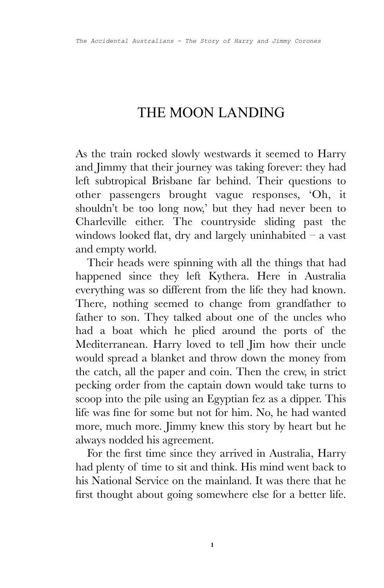## THE MOON LANDING

As the train rocked slowly westwards it seemed to Harry and Jimmy that their journey was taking forever: they had left subtropical Brisbane far behind. Their questions to other passengers brought vague responses, 'Oh, it shouldn't be too long now,' but they had never been to Charleville either. The countryside sliding past the windows looked flat, dry and largely uninhabited  $-$  a vast and empty world.

Their heads were spinning with all the things that had happened since they left Kythera. Here in Australia everything was so different from the life they had known. There, nothing seemed to change from grandfather to father to son. They talked about one of the uncles who had a boat which he plied around the ports of the Mediterranean. Harry loved to tell Jim how their uncle would spread a blanket and throw down the money from the catch, all the paper and coin. Then the crew, in strict pecking order from the captain down would take turns to scoop into the pile using an Egyptian fez as a dipper. This life was fine for some but not for him. No, he had wanted more, much more. Jimmy knew this story by heart but he always nodded his agreement.

For the first time since they arrived in Australia, Harry had plenty of time to sit and think. His mind went back to his National Service on the mainland. It was there that he first thought about going somewhere else for a better life.

**1**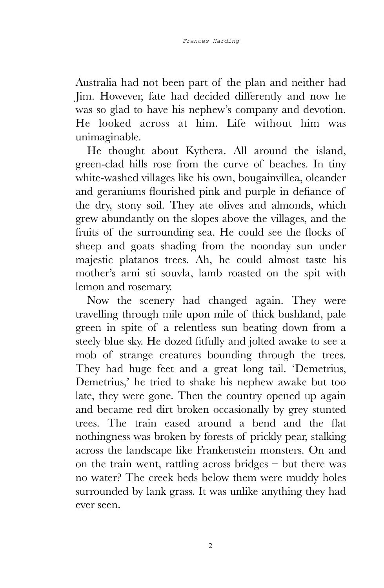Australia had not been part of the plan and neither had Jim. However, fate had decided differently and now he was so glad to have his nephew's company and devotion. He looked across at him. Life without him was unimaginable.

He thought about Kythera. All around the island, green-clad hills rose from the curve of beaches. In tiny white-washed villages like his own, bougainvillea, oleander and geraniums flourished pink and purple in defiance of the dry, stony soil. They ate olives and almonds, which grew abundantly on the slopes above the villages, and the fruits of the surrounding sea. He could see the flocks of sheep and goats shading from the noonday sun under majestic platanos trees. Ah, he could almost taste his mother's arni sti souvla, lamb roasted on the spit with lemon and rosemary.

Now the scenery had changed again. They were travelling through mile upon mile of thick bushland, pale green in spite of a relentless sun beating down from a steely blue sky. He dozed fitfully and jolted awake to see a mob of strange creatures bounding through the trees. They had huge feet and a great long tail. 'Demetrius, Demetrius,' he tried to shake his nephew awake but too late, they were gone. Then the country opened up again and became red dirt broken occasionally by grey stunted trees. The train eased around a bend and the flat nothingness was broken by forests of prickly pear, stalking across the landscape like Frankenstein monsters. On and on the train went, rattling across bridges – but there was no water? The creek beds below them were muddy holes surrounded by lank grass. It was unlike anything they had ever seen.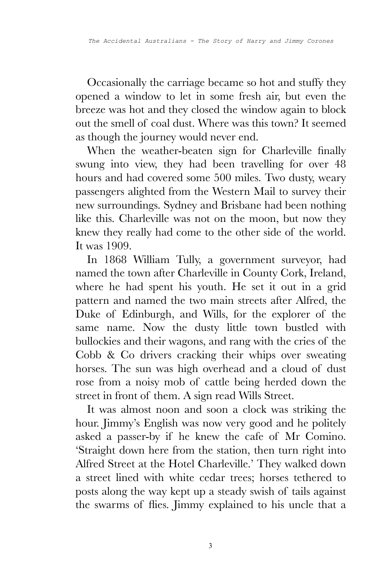Occasionally the carriage became so hot and stuffy they opened a window to let in some fresh air, but even the breeze was hot and they closed the window again to block out the smell of coal dust. Where was this town? It seemed as though the journey would never end.

When the weather-beaten sign for Charleville finally swung into view, they had been travelling for over 48 hours and had covered some 500 miles. Two dusty, weary passengers alighted from the Western Mail to survey their new surroundings. Sydney and Brisbane had been nothing like this. Charleville was not on the moon, but now they knew they really had come to the other side of the world. It was 1909.

In 1868 William Tully, a government surveyor, had named the town after Charleville in County Cork, Ireland, where he had spent his youth. He set it out in a grid pattern and named the two main streets after Alfred, the Duke of Edinburgh, and Wills, for the explorer of the same name. Now the dusty little town bustled with bullockies and their wagons, and rang with the cries of the Cobb & Co drivers cracking their whips over sweating horses. The sun was high overhead and a cloud of dust rose from a noisy mob of cattle being herded down the street in front of them. A sign read Wills Street.

It was almost noon and soon a clock was striking the hour. Jimmy's English was now very good and he politely asked a passer-by if he knew the cafe of Mr Comino. 'Straight down here from the station, then turn right into Alfred Street at the Hotel Charleville.' They walked down a street lined with white cedar trees; horses tethered to posts along the way kept up a steady swish of tails against the swarms of flies. Jimmy explained to his uncle that a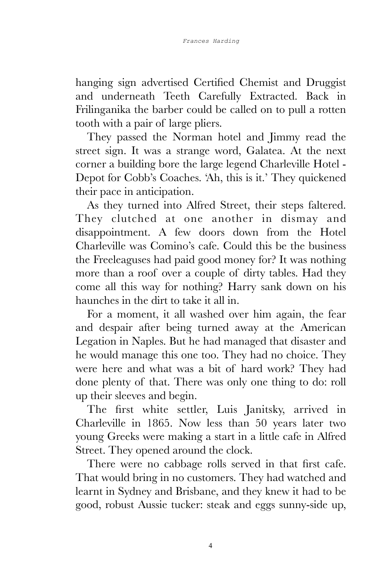hanging sign advertised Certified Chemist and Druggist and underneath Teeth Carefully Extracted. Back in Frilinganika the barber could be called on to pull a rotten tooth with a pair of large pliers.

They passed the Norman hotel and Jimmy read the street sign. It was a strange word, Galatea. At the next corner a building bore the large legend Charleville Hotel - Depot for Cobb's Coaches. 'Ah, this is it.' They quickened their pace in anticipation.

As they turned into Alfred Street, their steps faltered. They clutched at one another in dismay and disappointment. A few doors down from the Hotel Charleville was Comino's cafe. Could this be the business the Freeleaguses had paid good money for? It was nothing more than a roof over a couple of dirty tables. Had they come all this way for nothing? Harry sank down on his haunches in the dirt to take it all in.

For a moment, it all washed over him again, the fear and despair after being turned away at the American Legation in Naples. But he had managed that disaster and he would manage this one too. They had no choice. They were here and what was a bit of hard work? They had done plenty of that. There was only one thing to do: roll up their sleeves and begin.

The first white settler, Luis Janitsky, arrived in Charleville in 1865. Now less than 50 years later two young Greeks were making a start in a little cafe in Alfred Street. They opened around the clock.

There were no cabbage rolls served in that first cafe. That would bring in no customers. They had watched and learnt in Sydney and Brisbane, and they knew it had to be good, robust Aussie tucker: steak and eggs sunny-side up,